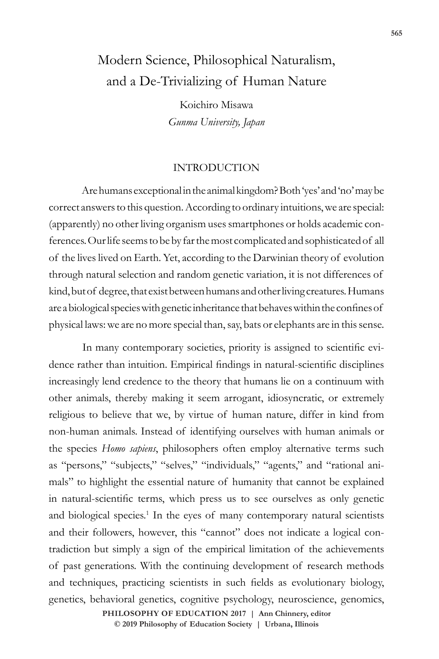# Modern Science, Philosophical Naturalism, and a De-Trivializing of Human Nature

Koichiro Misawa *Gunma University, Japan*

#### INTRODUCTION

Are humans exceptional in the animal kingdom? Both 'yes' and 'no' may be correct answers to this question. According to ordinary intuitions, we are special: (apparently) no other living organism uses smartphones or holds academic conferences. Our life seems to be by far the most complicated and sophisticated of all of the lives lived on Earth. Yet, according to the Darwinian theory of evolution through natural selection and random genetic variation, it is not differences of kind, but of degree, that exist between humans and other living creatures. Humans are a biological species with genetic inheritance that behaves within the confines of physical laws: we are no more special than, say, bats or elephants are in this sense.

In many contemporary societies, priority is assigned to scientific evidence rather than intuition. Empirical findings in natural-scientific disciplines increasingly lend credence to the theory that humans lie on a continuum with other animals, thereby making it seem arrogant, idiosyncratic, or extremely religious to believe that we, by virtue of human nature, differ in kind from non-human animals. Instead of identifying ourselves with human animals or the species *Homo sapiens*, philosophers often employ alternative terms such as "persons," "subjects," "selves," "individuals," "agents," and "rational animals" to highlight the essential nature of humanity that cannot be explained in natural-scientific terms, which press us to see ourselves as only genetic and biological species.<sup>1</sup> In the eyes of many contemporary natural scientists and their followers, however, this "cannot" does not indicate a logical contradiction but simply a sign of the empirical limitation of the achievements of past generations. With the continuing development of research methods and techniques, practicing scientists in such fields as evolutionary biology, genetics, behavioral genetics, cognitive psychology, neuroscience, genomics,

> **doi: 10.47925/73.565 PHILOSOPHY OF EDUCATION 2017 | Ann Chinnery, editor © 2019 Philosophy of Education Society | Urbana, Illinois**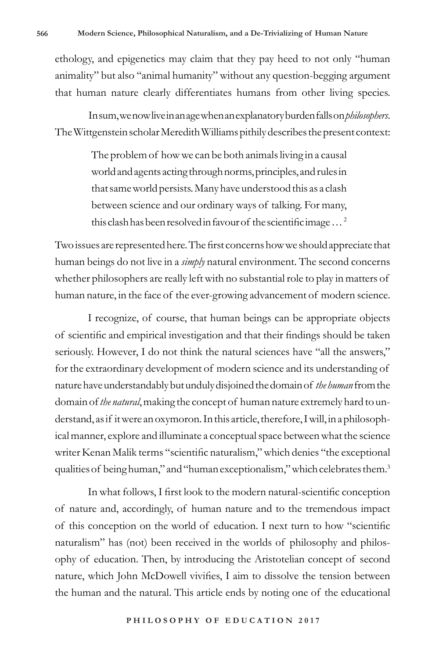ethology, and epigenetics may claim that they pay heed to not only "human animality" but also "animal humanity" without any question-begging argument that human nature clearly differentiates humans from other living species.

In sum, we now live in an age when an explanatory burden falls on *philosophers*. The Wittgenstein scholar Meredith Williams pithily describes the present context:

> The problem of how we can be both animals living in a causal world and agents acting through norms, principles, and rules in that same world persists. Many have understood this as a clash between science and our ordinary ways of talking. For many, this clash has been resolved in favour of the scientific image … <sup>2</sup>

Two issues are represented here. The first concerns how we should appreciate that human beings do not live in a *simply* natural environment. The second concerns whether philosophers are really left with no substantial role to play in matters of human nature, in the face of the ever-growing advancement of modern science.

I recognize, of course, that human beings can be appropriate objects of scientific and empirical investigation and that their findings should be taken seriously. However, I do not think the natural sciences have "all the answers," for the extraordinary development of modern science and its understanding of nature have understandably but unduly disjoined the domain of *the human* from the domain of *the natural*, making the concept of human nature extremely hard to understand, as if it were an oxymoron. In this article, therefore, I will, in a philosophical manner, explore and illuminate a conceptual space between what the science writer Kenan Malik terms "scientific naturalism," which denies "the exceptional qualities of being human," and "human exceptionalism," which celebrates them.<sup>3</sup>

In what follows, I first look to the modern natural-scientific conception of nature and, accordingly, of human nature and to the tremendous impact of this conception on the world of education. I next turn to how "scientific naturalism" has (not) been received in the worlds of philosophy and philosophy of education. Then, by introducing the Aristotelian concept of second nature, which John McDowell vivifies, I aim to dissolve the tension between the human and the natural. This article ends by noting one of the educational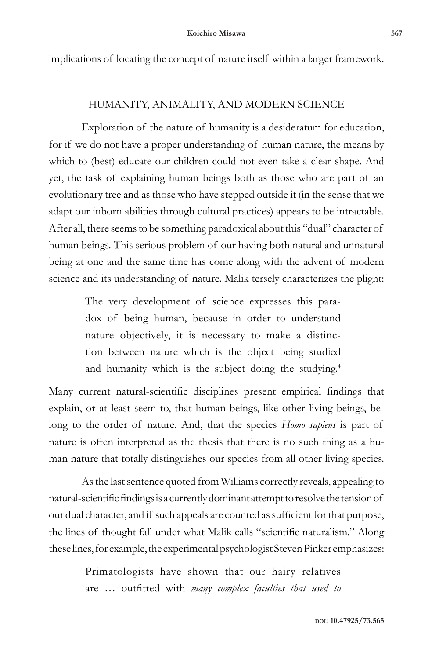implications of locating the concept of nature itself within a larger framework.

### HUMANITY, ANIMALITY, AND MODERN SCIENCE

Exploration of the nature of humanity is a desideratum for education, for if we do not have a proper understanding of human nature, the means by which to (best) educate our children could not even take a clear shape. And yet, the task of explaining human beings both as those who are part of an evolutionary tree and as those who have stepped outside it (in the sense that we adapt our inborn abilities through cultural practices) appears to be intractable. After all, there seems to be something paradoxical about this "dual" character of human beings. This serious problem of our having both natural and unnatural being at one and the same time has come along with the advent of modern science and its understanding of nature. Malik tersely characterizes the plight:

> The very development of science expresses this paradox of being human, because in order to understand nature objectively, it is necessary to make a distinction between nature which is the object being studied and humanity which is the subject doing the studying.<sup>4</sup>

Many current natural-scientific disciplines present empirical findings that explain, or at least seem to, that human beings, like other living beings, belong to the order of nature. And, that the species *Homo sapiens* is part of nature is often interpreted as the thesis that there is no such thing as a human nature that totally distinguishes our species from all other living species.

As the last sentence quoted from Williams correctly reveals, appealing to natural-scientific findings is a currently dominant attempt to resolve the tension of our dual character, and if such appeals are counted as sufficient for that purpose, the lines of thought fall under what Malik calls "scientific naturalism." Along these lines, for example, the experimental psychologist Steven Pinker emphasizes:

> Primatologists have shown that our hairy relatives are … outfitted with *many complex faculties that used to*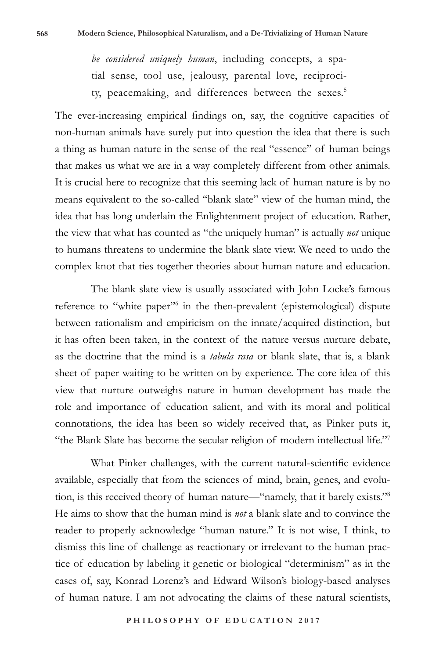*be considered uniquely human*, including concepts, a spatial sense, tool use, jealousy, parental love, reciprocity, peacemaking, and differences between the sexes.<sup>5</sup>

The ever-increasing empirical findings on, say, the cognitive capacities of non-human animals have surely put into question the idea that there is such a thing as human nature in the sense of the real "essence" of human beings that makes us what we are in a way completely different from other animals. It is crucial here to recognize that this seeming lack of human nature is by no means equivalent to the so-called "blank slate" view of the human mind, the idea that has long underlain the Enlightenment project of education. Rather, the view that what has counted as "the uniquely human" is actually *not* unique to humans threatens to undermine the blank slate view. We need to undo the complex knot that ties together theories about human nature and education.

The blank slate view is usually associated with John Locke's famous reference to "white paper"<sup>6</sup> in the then-prevalent (epistemological) dispute between rationalism and empiricism on the innate/acquired distinction, but it has often been taken, in the context of the nature versus nurture debate, as the doctrine that the mind is a *tabula rasa* or blank slate, that is, a blank sheet of paper waiting to be written on by experience. The core idea of this view that nurture outweighs nature in human development has made the role and importance of education salient, and with its moral and political connotations, the idea has been so widely received that, as Pinker puts it, "the Blank Slate has become the secular religion of modern intellectual life."7

What Pinker challenges, with the current natural-scientific evidence available, especially that from the sciences of mind, brain, genes, and evolution, is this received theory of human nature—"namely, that it barely exists."8 He aims to show that the human mind is *not* a blank slate and to convince the reader to properly acknowledge "human nature." It is not wise, I think, to dismiss this line of challenge as reactionary or irrelevant to the human practice of education by labeling it genetic or biological "determinism" as in the cases of, say, Konrad Lorenz's and Edward Wilson's biology-based analyses of human nature. I am not advocating the claims of these natural scientists,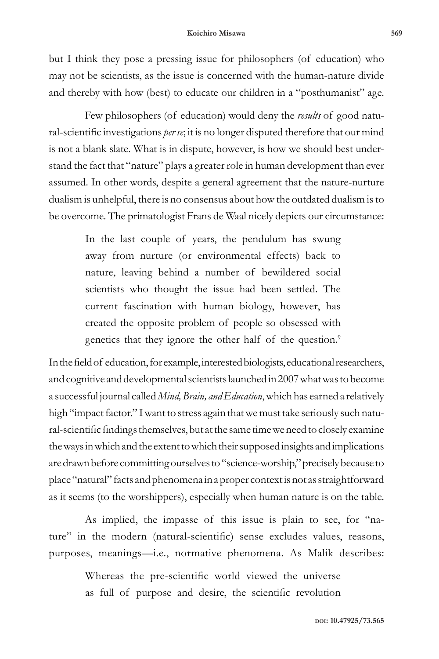but I think they pose a pressing issue for philosophers (of education) who may not be scientists, as the issue is concerned with the human-nature divide and thereby with how (best) to educate our children in a "posthumanist" age.

Few philosophers (of education) would deny the *results* of good natural-scientific investigations *per se*; it is no longer disputed therefore that our mind is not a blank slate. What is in dispute, however, is how we should best understand the fact that "nature" plays a greater role in human development than ever assumed. In other words, despite a general agreement that the nature-nurture dualism is unhelpful, there is no consensus about how the outdated dualism is to be overcome. The primatologist Frans de Waal nicely depicts our circumstance:

> In the last couple of years, the pendulum has swung away from nurture (or environmental effects) back to nature, leaving behind a number of bewildered social scientists who thought the issue had been settled. The current fascination with human biology, however, has created the opposite problem of people so obsessed with genetics that they ignore the other half of the question.<sup>9</sup>

In the field of education, for example, interested biologists, educational researchers, and cognitive and developmental scientists launched in 2007 what was to become a successful journal called *Mind, Brain, and Education*, which has earned a relatively high "impact factor." I want to stress again that we must take seriously such natural-scientific findings themselves, but at the same time we need to closely examine the ways in which and the extent to which their supposed insights and implications are drawn before committing ourselves to "science-worship," precisely because to place "natural" facts and phenomena in a proper context is not as straightforward as it seems (to the worshippers), especially when human nature is on the table.

As implied, the impasse of this issue is plain to see, for "nature" in the modern (natural-scientific) sense excludes values, reasons, purposes, meanings—i.e., normative phenomena. As Malik describes:

> Whereas the pre-scientific world viewed the universe as full of purpose and desire, the scientific revolution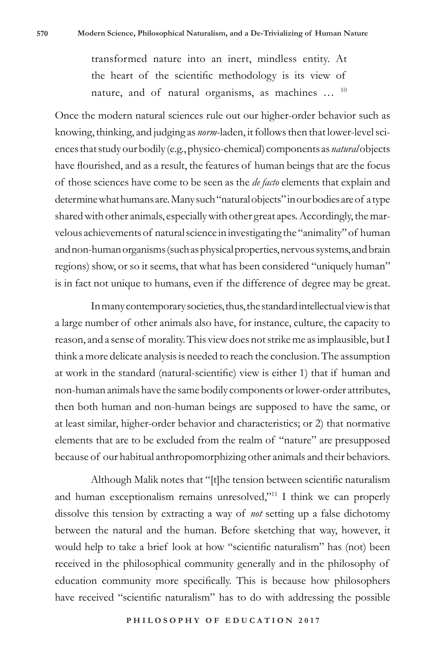transformed nature into an inert, mindless entity. At the heart of the scientific methodology is its view of nature, and of natural organisms, as machines ... <sup>10</sup>

Once the modern natural sciences rule out our higher-order behavior such as knowing, thinking, and judging as *norm*-laden, it follows then that lower-level sciences that study our bodily (e.g., physico-chemical) components as *natural* objects have flourished, and as a result, the features of human beings that are the focus of those sciences have come to be seen as the *de facto* elements that explain and determine what humans are. Many such "natural objects" in our bodies are of a type shared with other animals, especially with other great apes. Accordingly, the marvelous achievements of natural science in investigating the "animality" of human and non-human organisms (such as physical properties, nervous systems, and brain regions) show, or so it seems, that what has been considered "uniquely human" is in fact not unique to humans, even if the difference of degree may be great.

In many contemporary societies, thus, the standard intellectual view is that a large number of other animals also have, for instance, culture, the capacity to reason, and a sense of morality. This view does not strike me as implausible, but I think a more delicate analysis is needed to reach the conclusion. The assumption at work in the standard (natural-scientific) view is either 1) that if human and non-human animals have the same bodily components or lower-order attributes, then both human and non-human beings are supposed to have the same, or at least similar, higher-order behavior and characteristics; or 2) that normative elements that are to be excluded from the realm of "nature" are presupposed because of our habitual anthropomorphizing other animals and their behaviors.

Although Malik notes that "[t]he tension between scientific naturalism and human exceptionalism remains unresolved,"<sup>11</sup> I think we can properly dissolve this tension by extracting a way of *not* setting up a false dichotomy between the natural and the human. Before sketching that way, however, it would help to take a brief look at how "scientific naturalism" has (not) been received in the philosophical community generally and in the philosophy of education community more specifically. This is because how philosophers have received "scientific naturalism" has to do with addressing the possible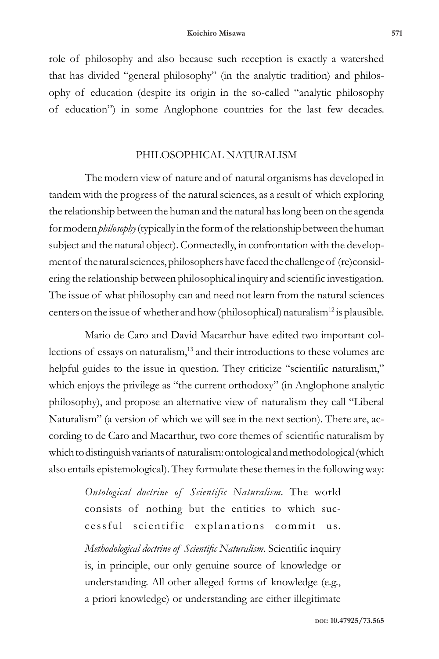role of philosophy and also because such reception is exactly a watershed that has divided "general philosophy" (in the analytic tradition) and philosophy of education (despite its origin in the so-called "analytic philosophy of education") in some Anglophone countries for the last few decades.

## PHILOSOPHICAL NATURALISM

The modern view of nature and of natural organisms has developed in tandem with the progress of the natural sciences, as a result of which exploring the relationship between the human and the natural has long been on the agenda for modern *philosophy* (typically in the form of the relationship between the human subject and the natural object). Connectedly, in confrontation with the development of the natural sciences, philosophers have faced the challenge of (re)considering the relationship between philosophical inquiry and scientific investigation. The issue of what philosophy can and need not learn from the natural sciences centers on the issue of whether and how (philosophical) naturalism<sup>12</sup> is plausible.

Mario de Caro and David Macarthur have edited two important collections of essays on naturalism,<sup>13</sup> and their introductions to these volumes are helpful guides to the issue in question. They criticize "scientific naturalism," which enjoys the privilege as "the current orthodoxy" (in Anglophone analytic philosophy), and propose an alternative view of naturalism they call "Liberal Naturalism" (a version of which we will see in the next section). There are, according to de Caro and Macarthur, two core themes of scientific naturalism by which to distinguish variants of naturalism: ontological and methodological (which also entails epistemological). They formulate these themes in the following way:

> *Ontological doctrine of Scientific Naturalism.* The world consists of nothing but the entities to which successful scientific explanations commit us.

> *Methodological doctrine of Scientific Naturalism*. Scientific inquiry is, in principle, our only genuine source of knowledge or understanding. All other alleged forms of knowledge (e.g., a priori knowledge) or understanding are either illegitimate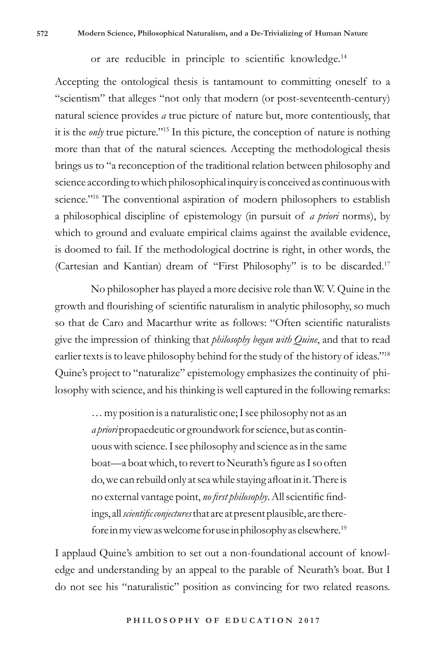or are reducible in principle to scientific knowledge.<sup>14</sup>

Accepting the ontological thesis is tantamount to committing oneself to a "scientism" that alleges "not only that modern (or post-seventeenth-century) natural science provides *a* true picture of nature but, more contentiously, that it is the *only* true picture."15 In this picture, the conception of nature is nothing more than that of the natural sciences. Accepting the methodological thesis brings us to "a reconception of the traditional relation between philosophy and science according to which philosophical inquiry is conceived as continuous with science."16 The conventional aspiration of modern philosophers to establish a philosophical discipline of epistemology (in pursuit of *a priori* norms), by which to ground and evaluate empirical claims against the available evidence, is doomed to fail. If the methodological doctrine is right, in other words, the (Cartesian and Kantian) dream of "First Philosophy" is to be discarded.17

No philosopher has played a more decisive role than W. V. Quine in the growth and flourishing of scientific naturalism in analytic philosophy, so much so that de Caro and Macarthur write as follows: "Often scientific naturalists give the impression of thinking that *philosophy began with Quine*, and that to read earlier texts is to leave philosophy behind for the study of the history of ideas."18 Quine's project to "naturalize" epistemology emphasizes the continuity of philosophy with science, and his thinking is well captured in the following remarks:

> … my position is a naturalistic one; I see philosophy not as an *a priori* propaedeutic or groundwork for science, but as continuous with science. I see philosophy and science as in the same boat—a boat which, to revert to Neurath's figure as I so often do, we can rebuild only at sea while staying afloat in it. There is no external vantage point, *no first philosophy*. All scientific findings, all *scientific conjectures* that are at present plausible, are therefore in my view as welcome for use in philosophy as elsewhere.19

I applaud Quine's ambition to set out a non-foundational account of knowledge and understanding by an appeal to the parable of Neurath's boat. But I do not see his "naturalistic" position as convincing for two related reasons.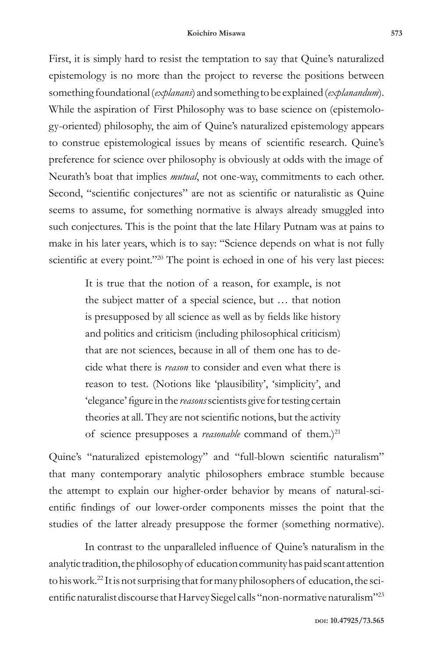First, it is simply hard to resist the temptation to say that Quine's naturalized epistemology is no more than the project to reverse the positions between something foundational (*explanans*) and something to be explained (*explanandum*). While the aspiration of First Philosophy was to base science on (epistemology-oriented) philosophy, the aim of Quine's naturalized epistemology appears to construe epistemological issues by means of scientific research. Quine's preference for science over philosophy is obviously at odds with the image of Neurath's boat that implies *mutual*, not one-way, commitments to each other. Second, "scientific conjectures" are not as scientific or naturalistic as Quine seems to assume, for something normative is always already smuggled into such conjectures. This is the point that the late Hilary Putnam was at pains to make in his later years, which is to say: "Science depends on what is not fully scientific at every point."<sup>20</sup> The point is echoed in one of his very last pieces:

> It is true that the notion of a reason, for example, is not the subject matter of a special science, but … that notion is presupposed by all science as well as by fields like history and politics and criticism (including philosophical criticism) that are not sciences, because in all of them one has to decide what there is *reason* to consider and even what there is reason to test. (Notions like 'plausibility', 'simplicity', and 'elegance' figure in the *reasons* scientists give for testing certain theories at all. They are not scientific notions, but the activity of science presupposes a *reasonable* command of them.)<sup>21</sup>

Quine's "naturalized epistemology" and "full-blown scientific naturalism" that many contemporary analytic philosophers embrace stumble because the attempt to explain our higher-order behavior by means of natural-scientific findings of our lower-order components misses the point that the studies of the latter already presuppose the former (something normative).

In contrast to the unparalleled influence of Quine's naturalism in the analytic tradition, the philosophy of education community has paid scant attention to his work.22 It is not surprising that for many philosophers of education, the scientific naturalist discourse that Harvey Siegel calls "non-normative naturalism"23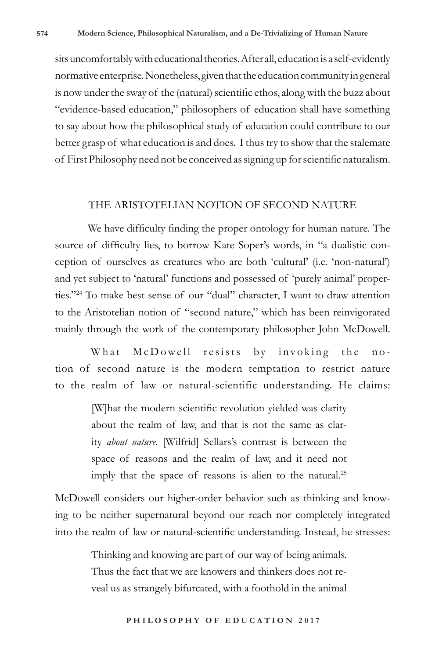sits uncomfortably with educational theories. After all, education is a self-evidently normative enterprise. Nonetheless, given that the education community in general is now under the sway of the (natural) scientific ethos, along with the buzz about "evidence-based education," philosophers of education shall have something to say about how the philosophical study of education could contribute to our better grasp of what education is and does. I thus try to show that the stalemate of First Philosophy need not be conceived as signing up for scientific naturalism.

#### THE ARISTOTELIAN NOTION OF SECOND NATURE

We have difficulty finding the proper ontology for human nature. The source of difficulty lies, to borrow Kate Soper's words, in "a dualistic conception of ourselves as creatures who are both 'cultural' (i.e. 'non-natural') and yet subject to 'natural' functions and possessed of 'purely animal' properties."24 To make best sense of our "dual" character, I want to draw attention to the Aristotelian notion of "second nature," which has been reinvigorated mainly through the work of the contemporary philosopher John McDowell.

What McDowell resists by invoking the notion of second nature is the modern temptation to restrict nature to the realm of law or natural-scientific understanding. He claims:

> [W]hat the modern scientific revolution yielded was clarity about the realm of law, and that is not the same as clarity *about nature*. [Wilfrid] Sellars's contrast is between the space of reasons and the realm of law, and it need not imply that the space of reasons is alien to the natural.<sup>25</sup>

McDowell considers our higher-order behavior such as thinking and knowing to be neither supernatural beyond our reach nor completely integrated into the realm of law or natural-scientific understanding. Instead, he stresses:

> Thinking and knowing are part of our way of being animals. Thus the fact that we are knowers and thinkers does not reveal us as strangely bifurcated, with a foothold in the animal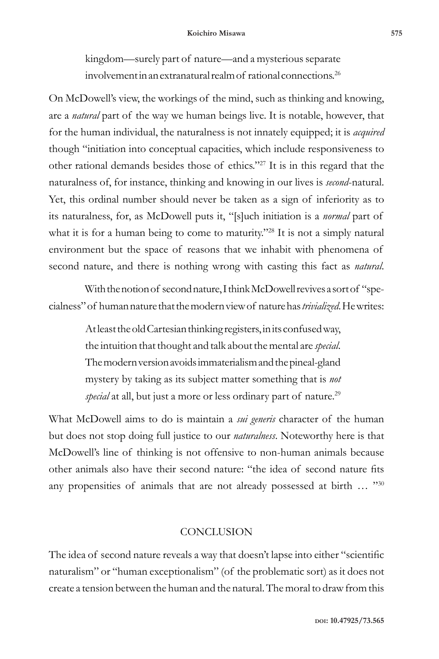kingdom—surely part of nature—and a mysterious separate involvement in an extranatural realm of rational connections.26

On McDowell's view, the workings of the mind, such as thinking and knowing, are a *natural* part of the way we human beings live. It is notable, however, that for the human individual, the naturalness is not innately equipped; it is *acquired* though "initiation into conceptual capacities, which include responsiveness to other rational demands besides those of ethics."27 It is in this regard that the naturalness of, for instance, thinking and knowing in our lives is *second*-natural. Yet, this ordinal number should never be taken as a sign of inferiority as to its naturalness, for, as McDowell puts it, "[s]uch initiation is a *normal* part of what it is for a human being to come to maturity."<sup>28</sup> It is not a simply natural environment but the space of reasons that we inhabit with phenomena of second nature, and there is nothing wrong with casting this fact as *natural*.

With the notion of second nature, I think McDowell revives a sort of "specialness" of human nature that the modern view of nature has *trivialized*. He writes:

> At least the old Cartesian thinking registers, in its confused way, the intuition that thought and talk about the mental are *special*. The modern version avoids immaterialism and the pineal-gland mystery by taking as its subject matter something that is *not*  special at all, but just a more or less ordinary part of nature.<sup>29</sup>

What McDowell aims to do is maintain a *sui generis* character of the human but does not stop doing full justice to our *naturalness*. Noteworthy here is that McDowell's line of thinking is not offensive to non-human animals because other animals also have their second nature: "the idea of second nature fits any propensities of animals that are not already possessed at birth ... "30

## **CONCLUSION**

The idea of second nature reveals a way that doesn't lapse into either "scientific naturalism" or "human exceptionalism" (of the problematic sort) as it does not create a tension between the human and the natural. The moral to draw from this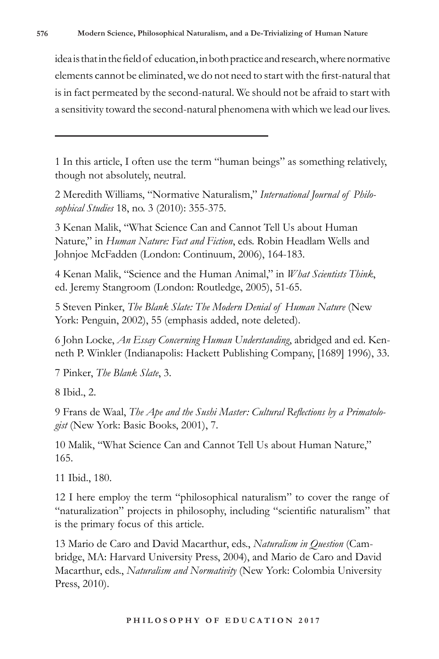idea is that in the field of education, in both practice and research, where normative elements cannot be eliminated, we do not need to start with the first-natural that is in fact permeated by the second-natural. We should not be afraid to start with a sensitivity toward the second-natural phenomena with which we lead our lives.

1 In this article, I often use the term "human beings" as something relatively, though not absolutely, neutral.

2 Meredith Williams, "Normative Naturalism," *International Journal of Philosophical Studies* 18, no. 3 (2010): 355-375.

3 Kenan Malik, "What Science Can and Cannot Tell Us about Human Nature," in *Human Nature: Fact and Fiction*, eds. Robin Headlam Wells and Johnjoe McFadden (London: Continuum, 2006), 164-183.

4 Kenan Malik, "Science and the Human Animal," in *What Scientists Think*, ed. Jeremy Stangroom (London: Routledge, 2005), 51-65.

5 Steven Pinker, *The Blank Slate: The Modern Denial of Human Nature* (New York: Penguin, 2002), 55 (emphasis added, note deleted).

6 John Locke, *An Essay Concerning Human Understanding*, abridged and ed. Kenneth P. Winkler (Indianapolis: Hackett Publishing Company, [1689] 1996), 33.

7 Pinker, *The Blank Slate*, 3.

8 Ibid., 2.

9 Frans de Waal, *The Ape and the Sushi Master: Cultural Reflections by a Primatologist* (New York: Basic Books, 2001), 7.

10 Malik, "What Science Can and Cannot Tell Us about Human Nature," 165.

11 Ibid., 180.

12 I here employ the term "philosophical naturalism" to cover the range of "naturalization" projects in philosophy, including "scientific naturalism" that is the primary focus of this article.

13 Mario de Caro and David Macarthur, eds., *Naturalism in Question* (Cambridge, MA: Harvard University Press, 2004), and Mario de Caro and David Macarthur, eds., *Naturalism and Normativity* (New York: Colombia University Press, 2010).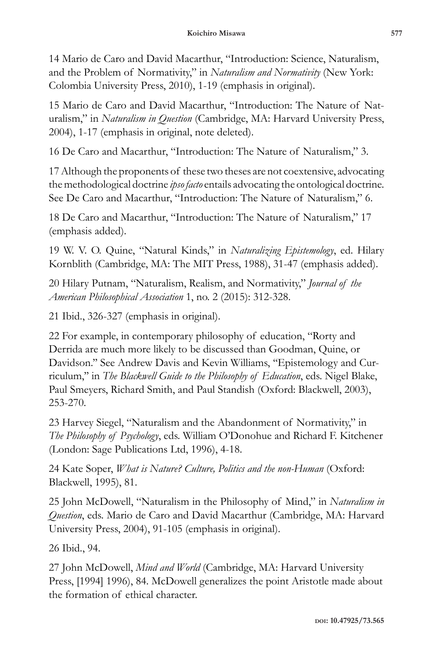14 Mario de Caro and David Macarthur, "Introduction: Science, Naturalism, and the Problem of Normativity," in *Naturalism and Normativity* (New York: Colombia University Press, 2010), 1-19 (emphasis in original).

15 Mario de Caro and David Macarthur, "Introduction: The Nature of Naturalism," in *Naturalism in Question* (Cambridge, MA: Harvard University Press, 2004), 1-17 (emphasis in original, note deleted).

16 De Caro and Macarthur, "Introduction: The Nature of Naturalism," 3.

17 Although the proponents of these two theses are not coextensive, advocating the methodological doctrine *ipso facto* entails advocating the ontological doctrine. See De Caro and Macarthur, "Introduction: The Nature of Naturalism," 6.

18 De Caro and Macarthur, "Introduction: The Nature of Naturalism," 17 (emphasis added).

19 W. V. O. Quine, "Natural Kinds," in *Naturalizing Epistemology*, ed. Hilary Kornblith (Cambridge, MA: The MIT Press, 1988), 31-47 (emphasis added).

20 Hilary Putnam, "Naturalism, Realism, and Normativity," *Journal of the American Philosophical Association* 1, no. 2 (2015): 312-328.

21 Ibid., 326-327 (emphasis in original).

22 For example, in contemporary philosophy of education, "Rorty and Derrida are much more likely to be discussed than Goodman, Quine, or Davidson.'' See Andrew Davis and Kevin Williams, ''Epistemology and Curriculum,'' in *The Blackwell Guide to the Philosophy of Education*, eds. Nigel Blake, Paul Smeyers, Richard Smith, and Paul Standish (Oxford: Blackwell, 2003), 253-270.

23 Harvey Siegel, "Naturalism and the Abandonment of Normativity," in *The Philosophy of Psychology*, eds. William O'Donohue and Richard F. Kitchener (London: Sage Publications Ltd, 1996), 4-18.

24 Kate Soper, *What is Nature? Culture, Politics and the non-Human* (Oxford: Blackwell, 1995), 81.

25 John McDowell, "Naturalism in the Philosophy of Mind," in *Naturalism in Question*, eds. Mario de Caro and David Macarthur (Cambridge, MA: Harvard University Press, 2004), 91-105 (emphasis in original).

26 Ibid., 94.

27 John McDowell, *Mind and World* (Cambridge, MA: Harvard University Press, [1994] 1996), 84. McDowell generalizes the point Aristotle made about the formation of ethical character.